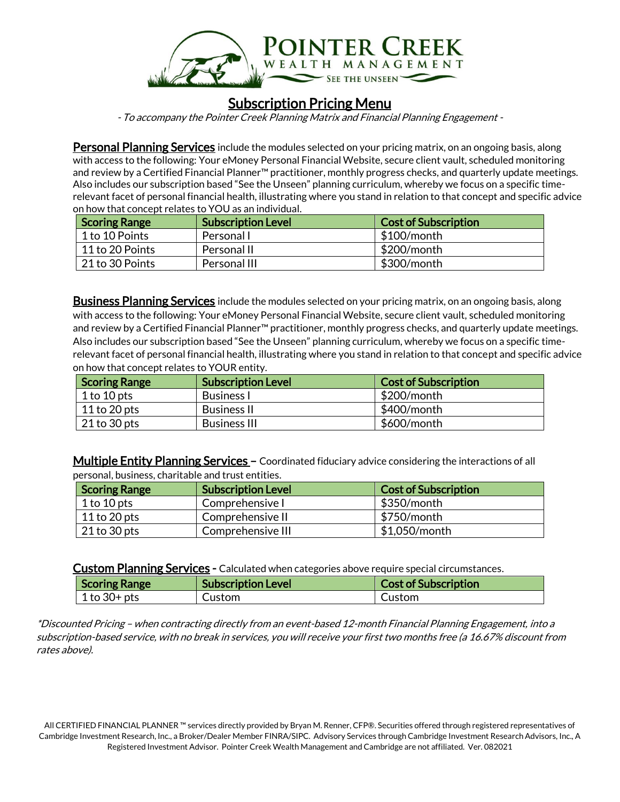

## **Subscription Pricing Menu**

- To accompany the Pointer Creek Planning Matrix and Financial Planning Engagement -

**Personal Planning Services** include the modules selected on your pricing matrix, on an ongoing basis, along with access to the following: Your eMoney Personal Financial Website, secure client vault, scheduled monitoring and review by a Certified Financial Planner<sup>™</sup> practitioner, monthly progress checks, and quarterly update meetings. Also includes our subscription based "See the Unseen" planning curriculum, whereby we focus on a specific timerelevant facet of personal financial health, illustrating where you stand in relation to that concept and specific advice on how that concept relates to YOU as an individual.

| <b>Scoring Range</b> | <b>Subscription Level</b> | <b>Cost of Subscription</b> |
|----------------------|---------------------------|-----------------------------|
| 1 to 10 Points       | Personal I                | $$100/m$ onth               |
| 11 to 20 Points      | Personal II               | \$200/month                 |
| 21 to 30 Points      | Personal III              | \$300/month                 |

**Business Planning Services** include the modules selected on your pricing matrix, on an ongoing basis, along with access to the following: Your eMoney Personal Financial Website, secure client vault, scheduled monitoring and review by a Certified Financial Planner™ practitioner, monthly progress checks, and quarterly update meetings. Also includes our subscription based "See the Unseen" planning curriculum, whereby we focus on a specific timerelevant facet of personal financial health, illustrating where you stand in relation to that concept and specific advice on how that concept relates to YOUR entity.

| <b>Scoring Range</b> | <b>Subscription Level</b> | <b>Cost of Subscription</b> |
|----------------------|---------------------------|-----------------------------|
| 1 to $10$ pts        | <b>Business I</b>         | \$200/month                 |
| 11 to 20 pts         | <b>Business II</b>        | \$400/month                 |
| $21$ to 30 pts       | <b>Business III</b>       | \$600/month                 |

Multiple Entity Planning Services – Coordinated fiduciary advice considering the interactions of all personal, business, charitable and trust entities.

| Scoring Range  | <b>Subscription Level</b> | <b>Cost of Subscription</b> |
|----------------|---------------------------|-----------------------------|
| 1 to $10$ pts  | Comprehensive I           | $$350/m$ onth               |
| 11 to 20 pts   | Comprehensive II          | \$750/month                 |
| $21$ to 30 pts | Comprehensive III         | \$1,050/month               |

Custom Planning Services - Calculated when categories above require special circumstances.

| <b>Scoring Range</b> | <b>Subscription Level</b> | <b>Cost of Subscription</b> |
|----------------------|---------------------------|-----------------------------|
| $1$ to 30+ pts       | Custom                    | <b>Custom</b>               |

\*Discounted Pricing – when contracting directly from an event-based 12-month Financial Planning Engagement, into a subscription-based service, with no break in services, you will receive your first two months free (a 16.67% discount from rates above).

All CERTIFIED FINANCIAL PLANNER ™ services directly provided by Bryan M. Renner, CFP®. Securities offered through registered representatives of Cambridge Investment Research, Inc., a Broker/Dealer Member FINRA/SIPC. Advisory Services through Cambridge Investment Research Advisors, Inc., A Registered Investment Advisor. Pointer Creek Wealth Management and Cambridge are not affiliated. Ver. 082021